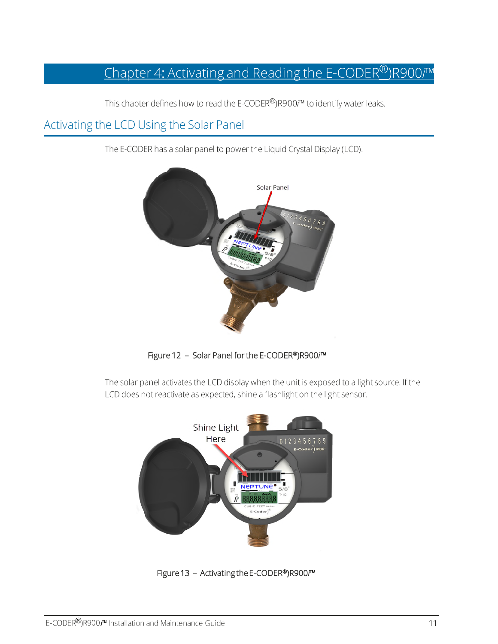# Chapter 4: Activating and Reading the E-CODER®)R900/™

This chapter defines how to read the E-CODER®)R900/™ to identify water leaks.

## Activating the LCD Using the Solar Panel

The E-CODER has a solar panel to power the Liquid Crystal Display (LCD).



Figure 12 - Solar Panel for the E-CODER®)R900/™

The solar panel activates the LCD display when the unit is exposed to a light source. If the LCD does not reactivate as expected, shine a flashlight on the light sensor.



Figure 13 - Activating the E-CODER®)R900™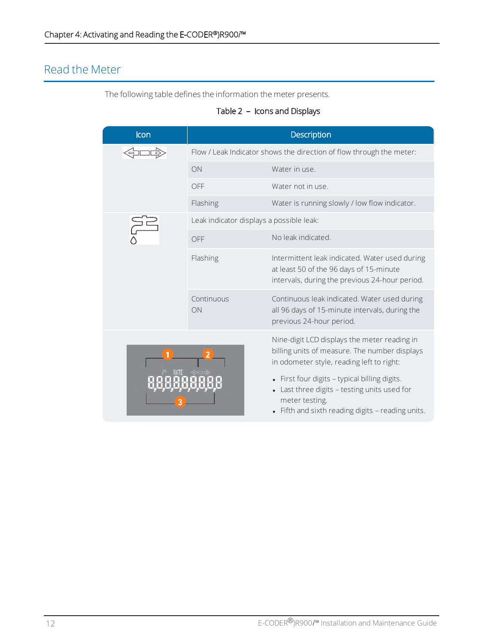## Read the Meter

The following table defines the information the meter presents.

### Table 2 - Icons and Displays

| Icon | Description                                                          |                                                                                                                                                                                                                                                                                                                  |
|------|----------------------------------------------------------------------|------------------------------------------------------------------------------------------------------------------------------------------------------------------------------------------------------------------------------------------------------------------------------------------------------------------|
|      | Flow / Leak Indicator shows the direction of flow through the meter: |                                                                                                                                                                                                                                                                                                                  |
|      | ON                                                                   | Water in use.                                                                                                                                                                                                                                                                                                    |
|      | OFF                                                                  | Water not in use.                                                                                                                                                                                                                                                                                                |
|      | Flashing                                                             | Water is running slowly / low flow indicator.                                                                                                                                                                                                                                                                    |
|      | Leak indicator displays a possible leak:                             |                                                                                                                                                                                                                                                                                                                  |
|      | OFF                                                                  | No leak indicated                                                                                                                                                                                                                                                                                                |
|      | Flashing                                                             | Intermittent leak indicated. Water used during<br>at least 50 of the 96 days of 15-minute<br>intervals, during the previous 24-hour period.                                                                                                                                                                      |
|      | Continuous<br>ON                                                     | Continuous leak indicated. Water used during<br>all 96 days of 15-minute intervals, during the<br>previous 24-hour period.                                                                                                                                                                                       |
|      |                                                                      | Nine-digit LCD displays the meter reading in<br>billing units of measure. The number displays<br>in odometer style, reading left to right:<br>• First four digits - typical billing digits.<br>Last three digits - testing units used for<br>meter testing.<br>• Fifth and sixth reading digits - reading units. |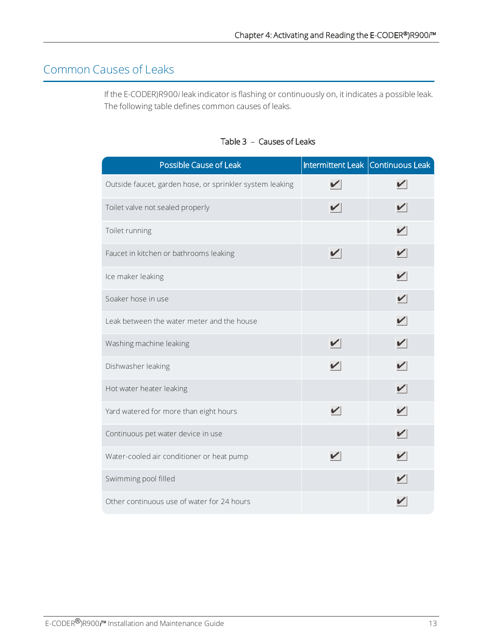# Common Causes of Leaks

If the E-CODER)R900i leak indicator is flashing or continuously on, it indicates a possible leak. The following table defines common causes of leaks.

| Possible Cause of Leak                                   |   | Intermittent Leak Continuous Leak |
|----------------------------------------------------------|---|-----------------------------------|
| Outside faucet, garden hose, or sprinkler system leaking |   |                                   |
| Toilet valve not sealed properly                         |   |                                   |
| Toilet running                                           |   |                                   |
| Faucet in kitchen or bathrooms leaking                   | V | V                                 |
| Ice maker leaking                                        |   |                                   |
| Soaker hose in use                                       |   | $\blacktriangledown$              |
| Leak between the water meter and the house               |   |                                   |
| Washing machine leaking                                  |   |                                   |
| Dishwasher leaking                                       |   | V                                 |
| Hot water heater leaking                                 |   |                                   |
| Yard watered for more than eight hours                   | ✓ |                                   |
| Continuous pet water device in use                       |   |                                   |
| Water-cooled air conditioner or heat pump                |   |                                   |
| Swimming pool filled                                     |   |                                   |
| Other continuous use of water for 24 hours               |   |                                   |

## Table 3 - Causes of Leaks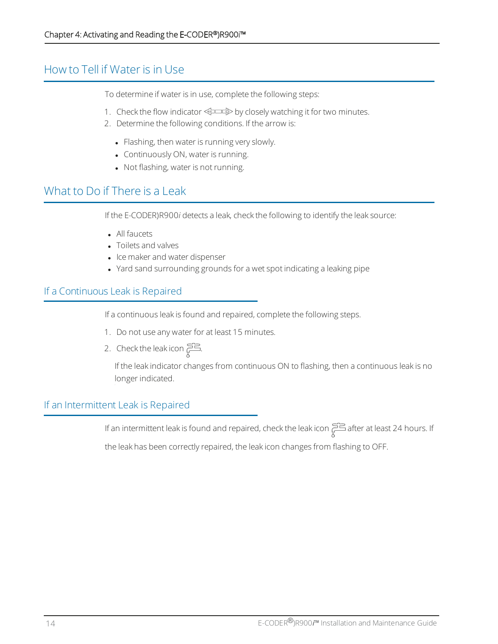## How to Tell if Water is in Use

To determine if water is in use, complete the following steps:

- 1. Check the flow indicator  $\iff$  by closely watching it for two minutes.
- 2. Determine the following conditions. If the arrow is:
	- Flashing, then water is running very slowly.
	- Continuously ON, water is running.
	- Not flashing, water is not running.

## What to Do if There is a Leak

If the E-CODER)R900i detects a leak, check the following to identify the leak source:

- All faucets
- Toilets and valves
- Ice maker and water dispenser
- Yard sand surrounding grounds for a wet spot indicating a leaking pipe

### If a Continuous Leak is Repaired

If a continuous leak is found and repaired, complete the following steps.

- 1. Do not use any water for at least 15 minutes.
- 2. Check the leak icon  $\Xi$ .

If the leak indicator changes from continuous ON to flashing, then a continuous leak is no longer indicated.

### If an Intermittent Leak is Repaired

If an intermittent leak is found and repaired, check the leak icon  $\sum_{\alpha=1}^{n}$  after at least 24 hours. If

the leak has been correctly repaired, the leak icon changes from flashing to OFF.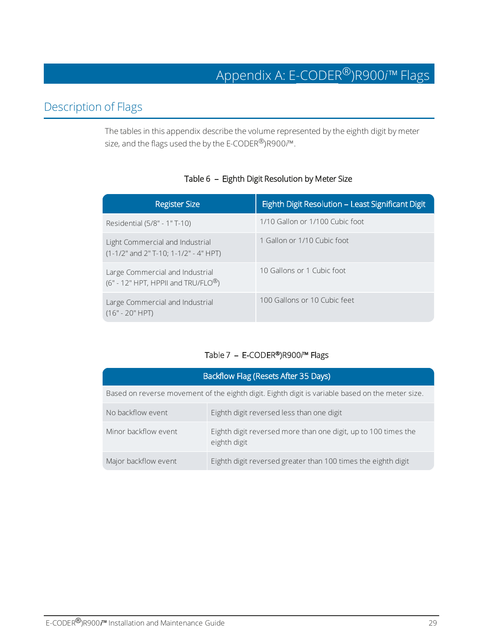## Description of Flags

The tables in this appendix describe the volume represented by the eighth digit by meter size, and the flags used the by the  $E$ -CODER<sup>®</sup>)R900 $\vec{r}$ <sup>M</sup>.

#### Table 6 - Eighth Digit Resolution by Meter Size

| <b>Register Size</b>                                                                 | Eighth Digit Resolution - Least Significant Digit |
|--------------------------------------------------------------------------------------|---------------------------------------------------|
| Residential (5/8" - 1"T-10)                                                          | 1/10 Gallon or 1/100 Cubic foot                   |
| Light Commercial and Industrial<br>$(1-1/2"$ and $2"$ T-10; 1-1/2" - 4" HPT)         | 1 Gallon or 1/10 Cubic foot                       |
| Large Commercial and Industrial<br>$(6" - 12" HPT, HPPII$ and TRU/FLO <sup>®</sup> ) | 10 Gallons or 1 Cubic foot                        |
| Large Commercial and Industrial<br>$(16" - 20" HPT)$                                 | 100 Gallons or 10 Cubic feet                      |

#### Table 7 - E-CODER®)R900/™ Flags

| Backflow Flag (Resets After 35 Days)                                                             |                                                                                |  |
|--------------------------------------------------------------------------------------------------|--------------------------------------------------------------------------------|--|
| Based on reverse movement of the eighth digit. Eighth digit is variable based on the meter size. |                                                                                |  |
| No backflow event                                                                                | Eighth digit reversed less than one digit                                      |  |
| Minor backflow event                                                                             | Eighth digit reversed more than one digit, up to 100 times the<br>eighth digit |  |
| Major backflow event                                                                             | Eighth digit reversed greater than 100 times the eighth digit                  |  |